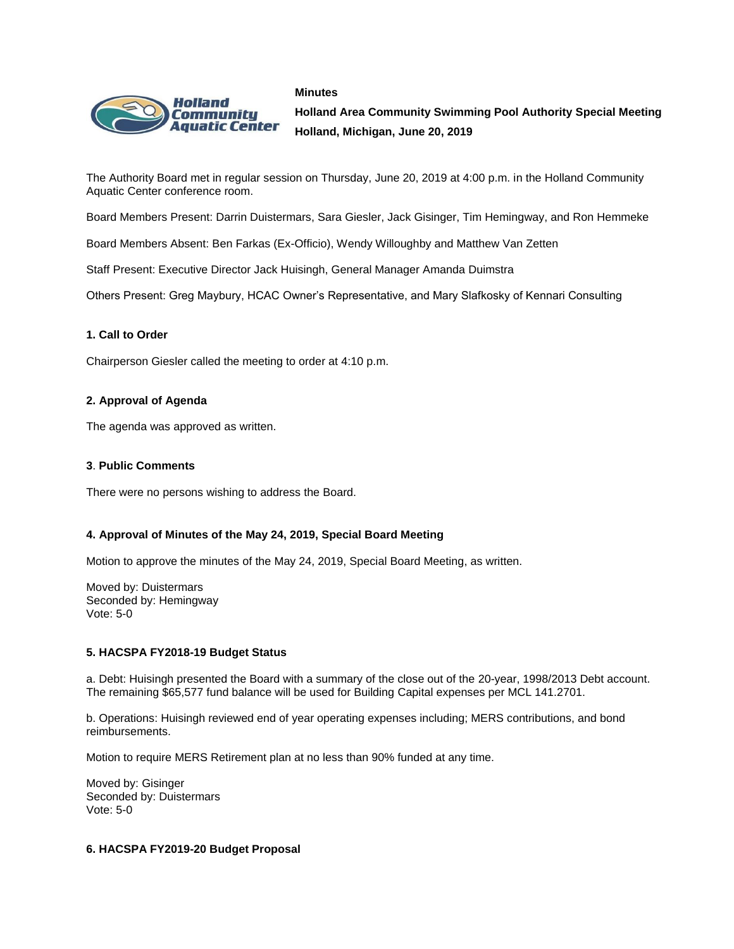#### **Minutes**



**Holland Area Community Swimming Pool Authority Special Meeting Holland, Michigan, June 20, 2019**

The Authority Board met in regular session on Thursday, June 20, 2019 at 4:00 p.m. in the Holland Community Aquatic Center conference room.

Board Members Present: Darrin Duistermars, Sara Giesler, Jack Gisinger, Tim Hemingway, and Ron Hemmeke

Board Members Absent: Ben Farkas (Ex-Officio), Wendy Willoughby and Matthew Van Zetten

Staff Present: Executive Director Jack Huisingh, General Manager Amanda Duimstra

Others Present: Greg Maybury, HCAC Owner's Representative, and Mary Slafkosky of Kennari Consulting

# **1. Call to Order**

Chairperson Giesler called the meeting to order at 4:10 p.m.

## **2. Approval of Agenda**

The agenda was approved as written.

# **3**. **Public Comments**

There were no persons wishing to address the Board.

# **4. Approval of Minutes of the May 24, 2019, Special Board Meeting**

Motion to approve the minutes of the May 24, 2019, Special Board Meeting, as written.

Moved by: Duistermars Seconded by: Hemingway Vote: 5-0

# **5. HACSPA FY2018-19 Budget Status**

a. Debt: Huisingh presented the Board with a summary of the close out of the 20-year, 1998/2013 Debt account. The remaining \$65,577 fund balance will be used for Building Capital expenses per MCL 141.2701.

b. Operations: Huisingh reviewed end of year operating expenses including; MERS contributions, and bond reimbursements.

Motion to require MERS Retirement plan at no less than 90% funded at any time.

Moved by: Gisinger Seconded by: Duistermars Vote: 5-0

# **6. HACSPA FY2019-20 Budget Proposal**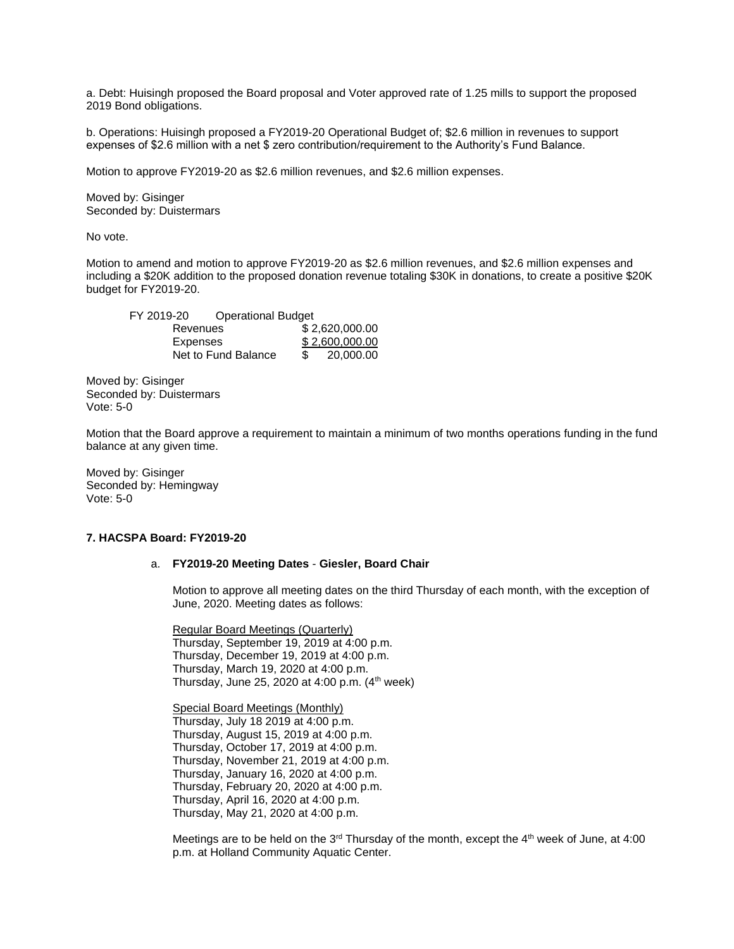a. Debt: Huisingh proposed the Board proposal and Voter approved rate of 1.25 mills to support the proposed 2019 Bond obligations.

b. Operations: Huisingh proposed a FY2019-20 Operational Budget of; \$2.6 million in revenues to support expenses of \$2.6 million with a net \$ zero contribution/requirement to the Authority's Fund Balance.

Motion to approve FY2019-20 as \$2.6 million revenues, and \$2.6 million expenses.

Moved by: Gisinger Seconded by: Duistermars

No vote.

Motion to amend and motion to approve FY2019-20 as \$2.6 million revenues, and \$2.6 million expenses and including a \$20K addition to the proposed donation revenue totaling \$30K in donations, to create a positive \$20K budget for FY2019-20.

| FY 2019-20          | <b>Operational Budget</b> |                |
|---------------------|---------------------------|----------------|
| Revenues            |                           | \$2,620,000.00 |
| Expenses            |                           | \$2,600,000.00 |
| Net to Fund Balance |                           | 20,000,00      |

Moved by: Gisinger Seconded by: Duistermars Vote: 5-0

Motion that the Board approve a requirement to maintain a minimum of two months operations funding in the fund balance at any given time.

Moved by: Gisinger Seconded by: Hemingway Vote: 5-0

#### **7. HACSPA Board: FY2019-20**

#### a. **FY2019-20 Meeting Dates** - **Giesler, Board Chair**

Motion to approve all meeting dates on the third Thursday of each month, with the exception of June, 2020. Meeting dates as follows:

Regular Board Meetings (Quarterly) Thursday, September 19, 2019 at 4:00 p.m. Thursday, December 19, 2019 at 4:00 p.m. Thursday, March 19, 2020 at 4:00 p.m. Thursday, June 25, 2020 at 4:00 p.m.  $(4<sup>th</sup>$  week)

Special Board Meetings (Monthly) Thursday, July 18 2019 at 4:00 p.m. Thursday, August 15, 2019 at 4:00 p.m. Thursday, October 17, 2019 at 4:00 p.m. Thursday, November 21, 2019 at 4:00 p.m. Thursday, January 16, 2020 at 4:00 p.m. Thursday, February 20, 2020 at 4:00 p.m. Thursday, April 16, 2020 at 4:00 p.m. Thursday, May 21, 2020 at 4:00 p.m.

Meetings are to be held on the 3<sup>rd</sup> Thursday of the month, except the  $4<sup>th</sup>$  week of June, at 4:00 p.m. at Holland Community Aquatic Center.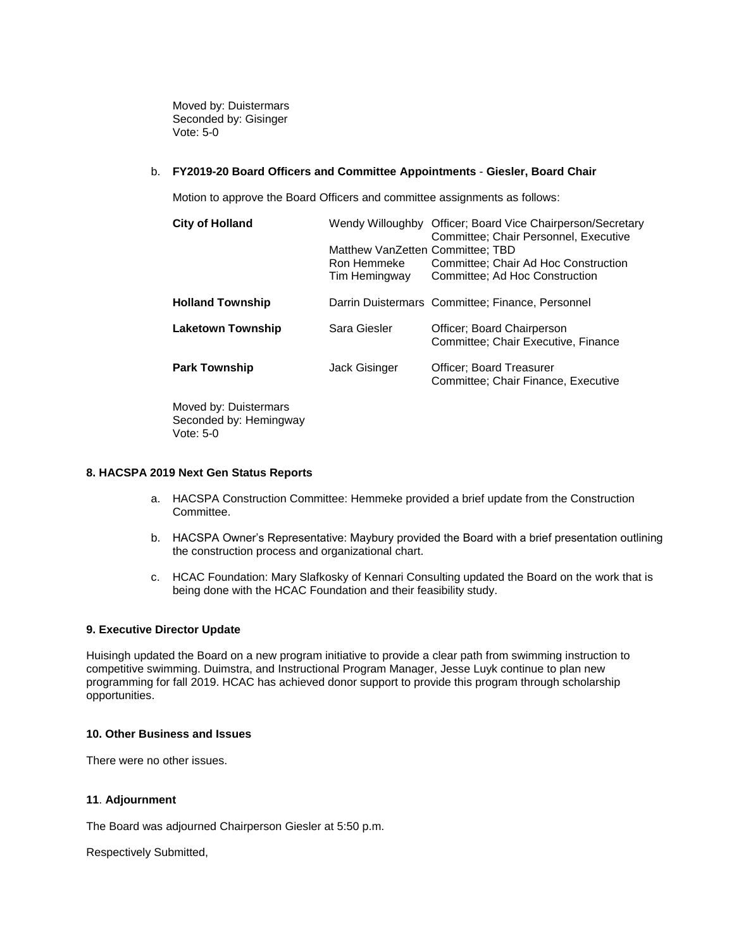Moved by: Duistermars Seconded by: Gisinger Vote: 5-0

## b. **FY2019-20 Board Officers and Committee Appointments** - **Giesler, Board Chair**

Motion to approve the Board Officers and committee assignments as follows:

| <b>City of Holland</b>   | Matthew VanZetten Committee: TBD<br>Ron Hemmeke<br>Tim Hemingway | Wendy Willoughby Officer; Board Vice Chairperson/Secretary<br>Committee; Chair Personnel, Executive<br>Committee: Chair Ad Hoc Construction<br>Committee: Ad Hoc Construction |
|--------------------------|------------------------------------------------------------------|-------------------------------------------------------------------------------------------------------------------------------------------------------------------------------|
| <b>Holland Township</b>  |                                                                  | Darrin Duistermars Committee; Finance, Personnel                                                                                                                              |
| <b>Laketown Township</b> | Sara Giesler                                                     | Officer: Board Chairperson<br>Committee; Chair Executive, Finance                                                                                                             |
| <b>Park Township</b>     | <b>Jack Gisinger</b>                                             | <b>Officer: Board Treasurer</b><br>Committee: Chair Finance, Executive                                                                                                        |
| Moved by: Duistermars    |                                                                  |                                                                                                                                                                               |

Moved by: Duistermars Seconded by: Hemingway Vote: 5-0

# **8. HACSPA 2019 Next Gen Status Reports**

- a. HACSPA Construction Committee: Hemmeke provided a brief update from the Construction Committee.
- b. HACSPA Owner's Representative: Maybury provided the Board with a brief presentation outlining the construction process and organizational chart.
- c. HCAC Foundation: Mary Slafkosky of Kennari Consulting updated the Board on the work that is being done with the HCAC Foundation and their feasibility study.

## **9. Executive Director Update**

Huisingh updated the Board on a new program initiative to provide a clear path from swimming instruction to competitive swimming. Duimstra, and Instructional Program Manager, Jesse Luyk continue to plan new programming for fall 2019. HCAC has achieved donor support to provide this program through scholarship opportunities.

## **10. Other Business and Issues**

There were no other issues.

#### **11**. **Adjournment**

The Board was adjourned Chairperson Giesler at 5:50 p.m.

Respectively Submitted,